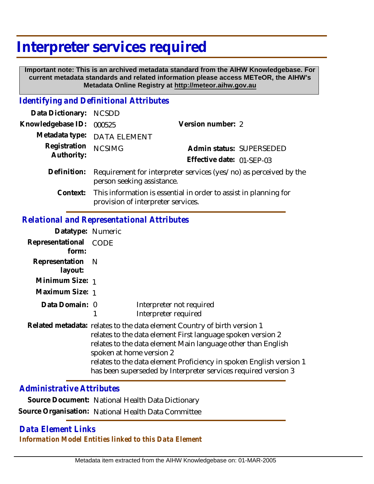# **Interpreter services required**

 **Important note: This is an archived metadata standard from the AIHW Knowledgebase. For current metadata standards and related information please access METeOR, the AIHW's Metadata Online Registry at http://meteor.aihw.gov.au**

#### *Identifying and Definitional Attributes*

| Data Dictionary: NCSDD     |                                                                                                 |                           |                          |
|----------------------------|-------------------------------------------------------------------------------------------------|---------------------------|--------------------------|
| Knowledgebase ID:          | 000525                                                                                          | Version number: 2         |                          |
|                            | Metadata type: DATA ELEMENT                                                                     |                           |                          |
| Registration<br>Authority: | <b>NCSIMG</b>                                                                                   |                           | Admin status: SUPERSEDED |
|                            |                                                                                                 | Effective date: 01-SEP-03 |                          |
| Definition:                | Requirement for interpreter services (yes/no) as perceived by the<br>person seeking assistance. |                           |                          |

Context: This information is essential in order to assist in planning for provision of interpreter services.

### *Relational and Representational Attributes*

| Datatype: Numeric           |                                                                                                                                                                                                                                                                                                                                                                              |                                                  |
|-----------------------------|------------------------------------------------------------------------------------------------------------------------------------------------------------------------------------------------------------------------------------------------------------------------------------------------------------------------------------------------------------------------------|--------------------------------------------------|
| Representational<br>form:   | CODE                                                                                                                                                                                                                                                                                                                                                                         |                                                  |
| Representation N<br>layout: |                                                                                                                                                                                                                                                                                                                                                                              |                                                  |
| Minimum Size: 1             |                                                                                                                                                                                                                                                                                                                                                                              |                                                  |
| Maximum Size: 1             |                                                                                                                                                                                                                                                                                                                                                                              |                                                  |
| Data Domain: 0              |                                                                                                                                                                                                                                                                                                                                                                              | Interpreter not required<br>Interpreter required |
|                             | Related metadata: relates to the data element Country of birth version 1<br>relates to the data element First language spoken version 2<br>relates to the data element Main language other than English<br>spoken at home version 2<br>relates to the data element Proficiency in spoken English version 1<br>has been superseded by Interpreter services required version 3 |                                                  |

### *Administrative Attributes*

**Source Document:** National Health Data Dictionary **Source Organisation:** National Health Data Committee

## *Data Element Links Information Model Entities linked to this Data Element*